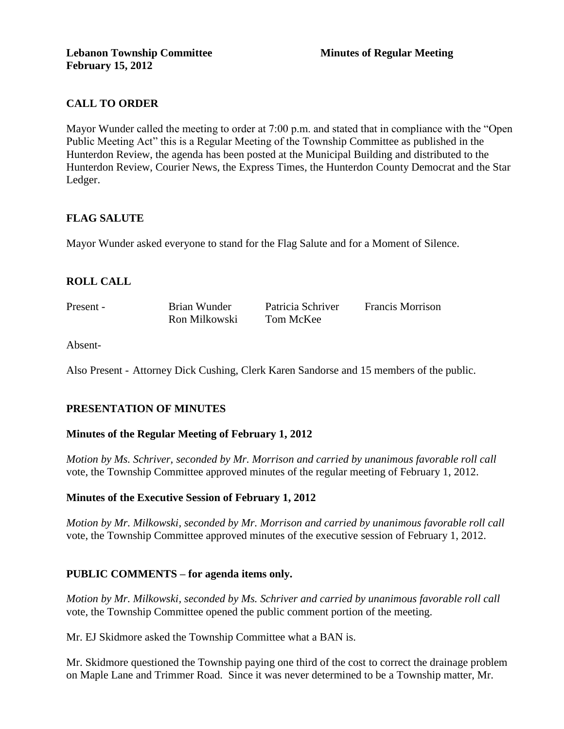## **CALL TO ORDER**

Mayor Wunder called the meeting to order at 7:00 p.m. and stated that in compliance with the "Open Public Meeting Act" this is a Regular Meeting of the Township Committee as published in the Hunterdon Review, the agenda has been posted at the Municipal Building and distributed to the Hunterdon Review, Courier News, the Express Times, the Hunterdon County Democrat and the Star Ledger.

### **FLAG SALUTE**

Mayor Wunder asked everyone to stand for the Flag Salute and for a Moment of Silence.

## **ROLL CALL**

Present - Brian Wunder Patricia Schriver Francis Morrison Ron Milkowski Tom McKee

Absent-

Also Present - Attorney Dick Cushing, Clerk Karen Sandorse and 15 members of the public.

## **PRESENTATION OF MINUTES**

#### **Minutes of the Regular Meeting of February 1, 2012**

*Motion by Ms. Schriver, seconded by Mr. Morrison and carried by unanimous favorable roll call*  vote, the Township Committee approved minutes of the regular meeting of February 1, 2012.

#### **Minutes of the Executive Session of February 1, 2012**

*Motion by Mr. Milkowski, seconded by Mr. Morrison and carried by unanimous favorable roll call*  vote, the Township Committee approved minutes of the executive session of February 1, 2012.

#### **PUBLIC COMMENTS – for agenda items only.**

*Motion by Mr. Milkowski, seconded by Ms. Schriver and carried by unanimous favorable roll call*  vote, the Township Committee opened the public comment portion of the meeting.

Mr. EJ Skidmore asked the Township Committee what a BAN is.

Mr. Skidmore questioned the Township paying one third of the cost to correct the drainage problem on Maple Lane and Trimmer Road. Since it was never determined to be a Township matter, Mr.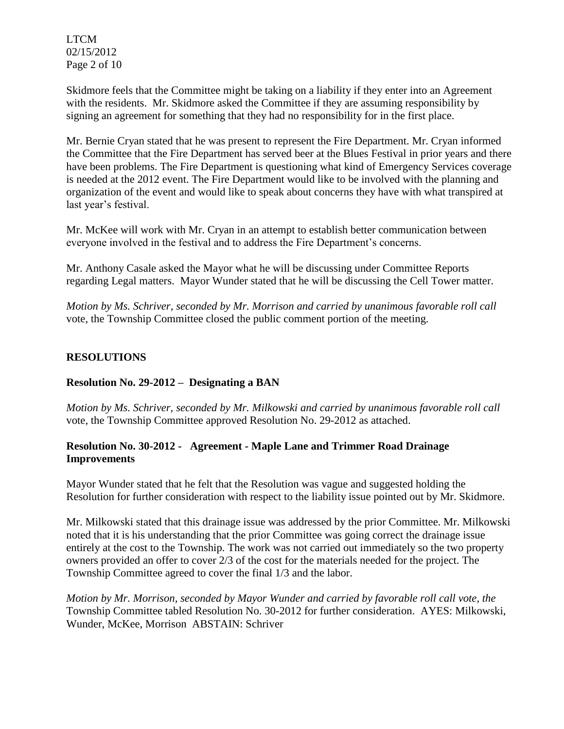LTCM 02/15/2012 Page 2 of 10

Skidmore feels that the Committee might be taking on a liability if they enter into an Agreement with the residents. Mr. Skidmore asked the Committee if they are assuming responsibility by signing an agreement for something that they had no responsibility for in the first place.

Mr. Bernie Cryan stated that he was present to represent the Fire Department. Mr. Cryan informed the Committee that the Fire Department has served beer at the Blues Festival in prior years and there have been problems. The Fire Department is questioning what kind of Emergency Services coverage is needed at the 2012 event. The Fire Department would like to be involved with the planning and organization of the event and would like to speak about concerns they have with what transpired at last year's festival.

Mr. McKee will work with Mr. Cryan in an attempt to establish better communication between everyone involved in the festival and to address the Fire Department's concerns.

Mr. Anthony Casale asked the Mayor what he will be discussing under Committee Reports regarding Legal matters. Mayor Wunder stated that he will be discussing the Cell Tower matter.

*Motion by Ms. Schriver, seconded by Mr. Morrison and carried by unanimous favorable roll call*  vote, the Township Committee closed the public comment portion of the meeting.

# **RESOLUTIONS**

## **Resolution No. 29-2012 – Designating a BAN**

*Motion by Ms. Schriver, seconded by Mr. Milkowski and carried by unanimous favorable roll call*  vote, the Township Committee approved Resolution No. 29-2012 as attached.

### **Resolution No. 30-2012 - Agreement - Maple Lane and Trimmer Road Drainage Improvements**

Mayor Wunder stated that he felt that the Resolution was vague and suggested holding the Resolution for further consideration with respect to the liability issue pointed out by Mr. Skidmore.

Mr. Milkowski stated that this drainage issue was addressed by the prior Committee. Mr. Milkowski noted that it is his understanding that the prior Committee was going correct the drainage issue entirely at the cost to the Township. The work was not carried out immediately so the two property owners provided an offer to cover 2/3 of the cost for the materials needed for the project. The Township Committee agreed to cover the final 1/3 and the labor.

*Motion by Mr. Morrison, seconded by Mayor Wunder and carried by favorable roll call vote, the* Township Committee tabled Resolution No. 30-2012 for further consideration.AYES: Milkowski, Wunder, McKee, Morrison ABSTAIN: Schriver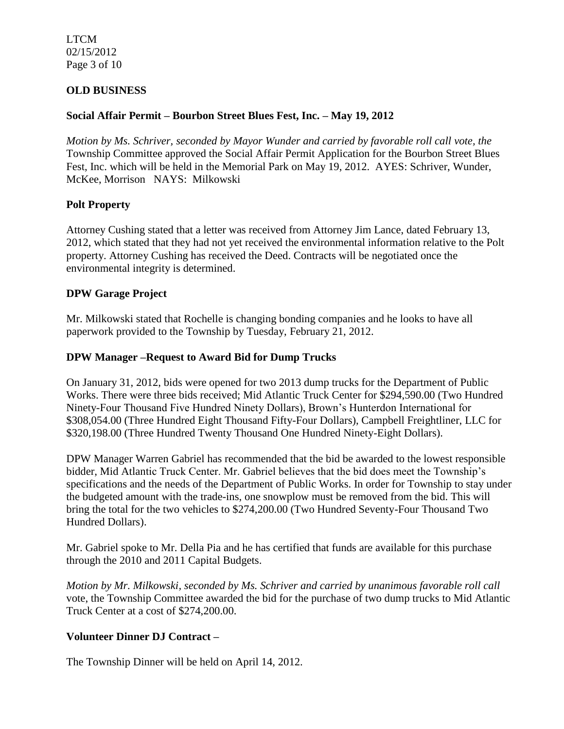LTCM 02/15/2012 Page 3 of 10

### **OLD BUSINESS**

#### **Social Affair Permit – Bourbon Street Blues Fest, Inc. – May 19, 2012**

*Motion by Ms. Schriver, seconded by Mayor Wunder and carried by favorable roll call vote, the* Township Committee approved the Social Affair Permit Application for the Bourbon Street Blues Fest, Inc. which will be held in the Memorial Park on May 19, 2012. AYES: Schriver, Wunder, McKee, Morrison NAYS: Milkowski

#### **Polt Property**

Attorney Cushing stated that a letter was received from Attorney Jim Lance, dated February 13, 2012, which stated that they had not yet received the environmental information relative to the Polt property. Attorney Cushing has received the Deed. Contracts will be negotiated once the environmental integrity is determined.

#### **DPW Garage Project**

Mr. Milkowski stated that Rochelle is changing bonding companies and he looks to have all paperwork provided to the Township by Tuesday, February 21, 2012.

#### **DPW Manager –Request to Award Bid for Dump Trucks**

On January 31, 2012, bids were opened for two 2013 dump trucks for the Department of Public Works. There were three bids received; Mid Atlantic Truck Center for \$294,590.00 (Two Hundred Ninety-Four Thousand Five Hundred Ninety Dollars), Brown's Hunterdon International for \$308,054.00 (Three Hundred Eight Thousand Fifty-Four Dollars), Campbell Freightliner, LLC for \$320,198.00 (Three Hundred Twenty Thousand One Hundred Ninety-Eight Dollars).

DPW Manager Warren Gabriel has recommended that the bid be awarded to the lowest responsible bidder, Mid Atlantic Truck Center. Mr. Gabriel believes that the bid does meet the Township's specifications and the needs of the Department of Public Works. In order for Township to stay under the budgeted amount with the trade-ins, one snowplow must be removed from the bid. This will bring the total for the two vehicles to \$274,200.00 (Two Hundred Seventy-Four Thousand Two Hundred Dollars).

Mr. Gabriel spoke to Mr. Della Pia and he has certified that funds are available for this purchase through the 2010 and 2011 Capital Budgets.

*Motion by Mr. Milkowski, seconded by Ms. Schriver and carried by unanimous favorable roll call*  vote, the Township Committee awarded the bid for the purchase of two dump trucks to Mid Atlantic Truck Center at a cost of \$274,200.00.

#### **Volunteer Dinner DJ Contract –**

The Township Dinner will be held on April 14, 2012.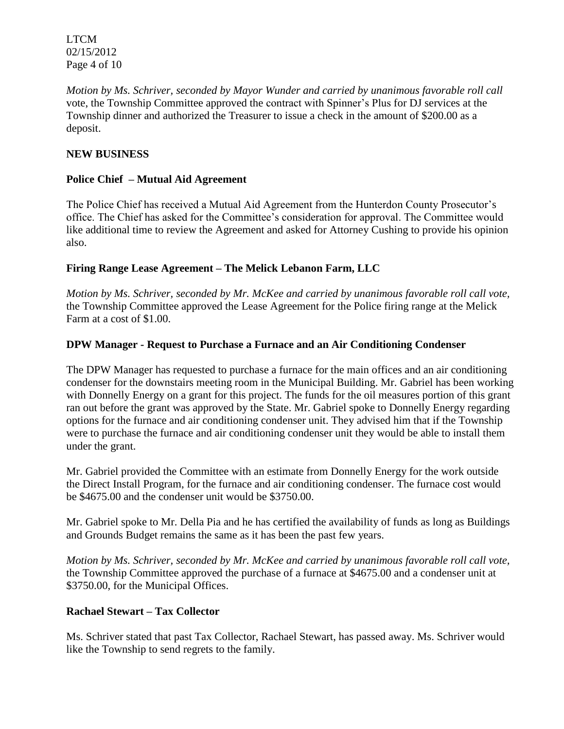LTCM 02/15/2012 Page 4 of 10

*Motion by Ms. Schriver, seconded by Mayor Wunder and carried by unanimous favorable roll call*  vote, the Township Committee approved the contract with Spinner's Plus for DJ services at the Township dinner and authorized the Treasurer to issue a check in the amount of \$200.00 as a deposit.

## **NEW BUSINESS**

## **Police Chief – Mutual Aid Agreement**

The Police Chief has received a Mutual Aid Agreement from the Hunterdon County Prosecutor's office. The Chief has asked for the Committee's consideration for approval. The Committee would like additional time to review the Agreement and asked for Attorney Cushing to provide his opinion also.

# **Firing Range Lease Agreement – The Melick Lebanon Farm, LLC**

*Motion by Ms. Schriver, seconded by Mr. McKee and carried by unanimous favorable roll call vote,*  the Township Committee approved the Lease Agreement for the Police firing range at the Melick Farm at a cost of \$1.00.

## **DPW Manager - Request to Purchase a Furnace and an Air Conditioning Condenser**

The DPW Manager has requested to purchase a furnace for the main offices and an air conditioning condenser for the downstairs meeting room in the Municipal Building. Mr. Gabriel has been working with Donnelly Energy on a grant for this project. The funds for the oil measures portion of this grant ran out before the grant was approved by the State. Mr. Gabriel spoke to Donnelly Energy regarding options for the furnace and air conditioning condenser unit. They advised him that if the Township were to purchase the furnace and air conditioning condenser unit they would be able to install them under the grant.

Mr. Gabriel provided the Committee with an estimate from Donnelly Energy for the work outside the Direct Install Program, for the furnace and air conditioning condenser. The furnace cost would be \$4675.00 and the condenser unit would be \$3750.00.

Mr. Gabriel spoke to Mr. Della Pia and he has certified the availability of funds as long as Buildings and Grounds Budget remains the same as it has been the past few years.

*Motion by Ms. Schriver, seconded by Mr. McKee and carried by unanimous favorable roll call vote,*  the Township Committee approved the purchase of a furnace at \$4675.00 and a condenser unit at \$3750.00, for the Municipal Offices.

## **Rachael Stewart – Tax Collector**

Ms. Schriver stated that past Tax Collector, Rachael Stewart, has passed away. Ms. Schriver would like the Township to send regrets to the family.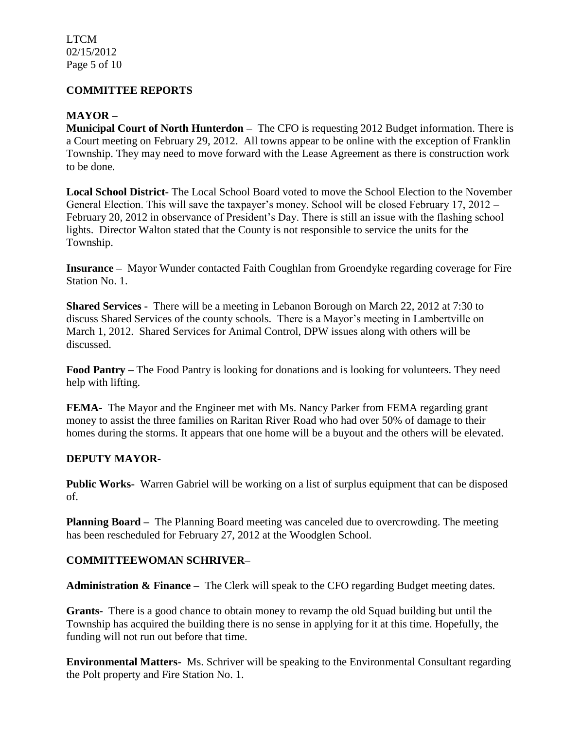LTCM 02/15/2012 Page 5 of 10

#### **COMMITTEE REPORTS**

### **MAYOR –**

**Municipal Court of North Hunterdon –** The CFO is requesting 2012 Budget information. There is a Court meeting on February 29, 2012. All towns appear to be online with the exception of Franklin Township. They may need to move forward with the Lease Agreement as there is construction work to be done.

**Local School District-** The Local School Board voted to move the School Election to the November General Election. This will save the taxpayer's money. School will be closed February 17, 2012 – February 20, 2012 in observance of President's Day. There is still an issue with the flashing school lights. Director Walton stated that the County is not responsible to service the units for the Township.

**Insurance –** Mayor Wunder contacted Faith Coughlan from Groendyke regarding coverage for Fire Station No. 1.

**Shared Services -** There will be a meeting in Lebanon Borough on March 22, 2012 at 7:30 to discuss Shared Services of the county schools. There is a Mayor's meeting in Lambertville on March 1, 2012. Shared Services for Animal Control, DPW issues along with others will be discussed.

**Food Pantry –** The Food Pantry is looking for donations and is looking for volunteers. They need help with lifting.

**FEMA-** The Mayor and the Engineer met with Ms. Nancy Parker from FEMA regarding grant money to assist the three families on Raritan River Road who had over 50% of damage to their homes during the storms. It appears that one home will be a buyout and the others will be elevated.

#### **DEPUTY MAYOR-**

**Public Works-** Warren Gabriel will be working on a list of surplus equipment that can be disposed of.

**Planning Board –** The Planning Board meeting was canceled due to overcrowding. The meeting has been rescheduled for February 27, 2012 at the Woodglen School.

## **COMMITTEEWOMAN SCHRIVER–**

**Administration & Finance –** The Clerk will speak to the CFO regarding Budget meeting dates.

**Grants-** There is a good chance to obtain money to revamp the old Squad building but until the Township has acquired the building there is no sense in applying for it at this time. Hopefully, the funding will not run out before that time.

**Environmental Matters-** Ms. Schriver will be speaking to the Environmental Consultant regarding the Polt property and Fire Station No. 1.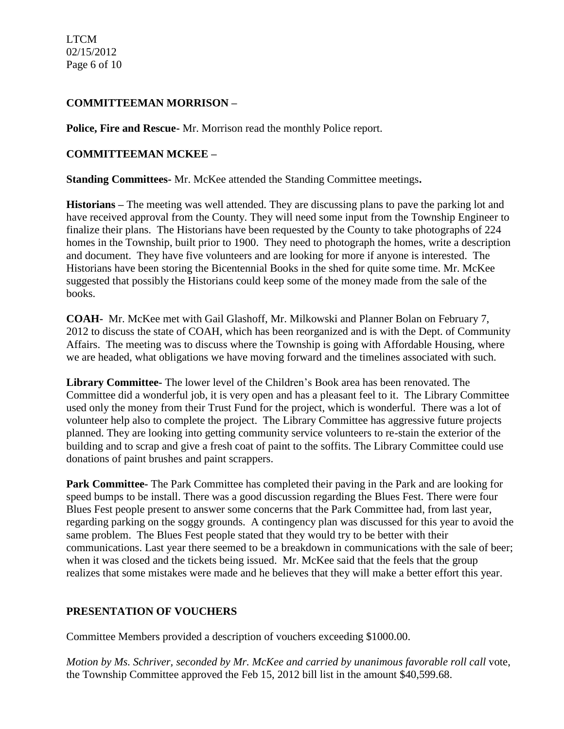LTCM 02/15/2012 Page 6 of 10

### **COMMITTEEMAN MORRISON –**

**Police, Fire and Rescue-** Mr. Morrison read the monthly Police report.

### **COMMITTEEMAN MCKEE –**

**Standing Committees-** Mr. McKee attended the Standing Committee meetings**.** 

**Historians –** The meeting was well attended. They are discussing plans to pave the parking lot and have received approval from the County. They will need some input from the Township Engineer to finalize their plans. The Historians have been requested by the County to take photographs of 224 homes in the Township, built prior to 1900. They need to photograph the homes, write a description and document. They have five volunteers and are looking for more if anyone is interested. The Historians have been storing the Bicentennial Books in the shed for quite some time. Mr. McKee suggested that possibly the Historians could keep some of the money made from the sale of the books.

**COAH-** Mr. McKee met with Gail Glashoff, Mr. Milkowski and Planner Bolan on February 7, 2012 to discuss the state of COAH, which has been reorganized and is with the Dept. of Community Affairs. The meeting was to discuss where the Township is going with Affordable Housing, where we are headed, what obligations we have moving forward and the timelines associated with such.

**Library Committee-** The lower level of the Children's Book area has been renovated. The Committee did a wonderful job, it is very open and has a pleasant feel to it. The Library Committee used only the money from their Trust Fund for the project, which is wonderful. There was a lot of volunteer help also to complete the project. The Library Committee has aggressive future projects planned. They are looking into getting community service volunteers to re-stain the exterior of the building and to scrap and give a fresh coat of paint to the soffits. The Library Committee could use donations of paint brushes and paint scrappers.

**Park Committee-** The Park Committee has completed their paving in the Park and are looking for speed bumps to be install. There was a good discussion regarding the Blues Fest. There were four Blues Fest people present to answer some concerns that the Park Committee had, from last year, regarding parking on the soggy grounds. A contingency plan was discussed for this year to avoid the same problem. The Blues Fest people stated that they would try to be better with their communications. Last year there seemed to be a breakdown in communications with the sale of beer; when it was closed and the tickets being issued. Mr. McKee said that the feels that the group realizes that some mistakes were made and he believes that they will make a better effort this year.

## **PRESENTATION OF VOUCHERS**

Committee Members provided a description of vouchers exceeding \$1000.00.

*Motion by Ms. Schriver, seconded by Mr. McKee and carried by unanimous favorable roll call* vote, the Township Committee approved the Feb 15, 2012 bill list in the amount \$40,599.68.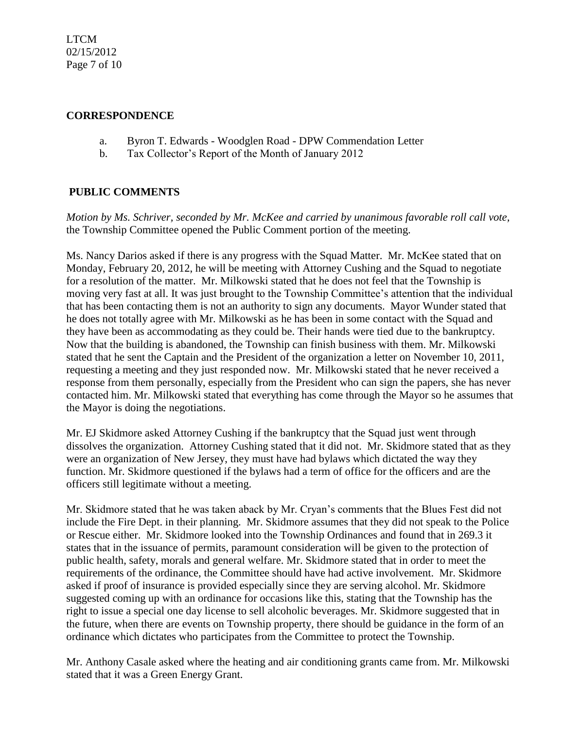LTCM 02/15/2012 Page 7 of 10

#### **CORRESPONDENCE**

- a. Byron T. Edwards Woodglen Road DPW Commendation Letter
- b. Tax Collector's Report of the Month of January 2012

## **PUBLIC COMMENTS**

*Motion by Ms. Schriver, seconded by Mr. McKee and carried by unanimous favorable roll call vote,* the Township Committee opened the Public Comment portion of the meeting.

Ms. Nancy Darios asked if there is any progress with the Squad Matter. Mr. McKee stated that on Monday, February 20, 2012, he will be meeting with Attorney Cushing and the Squad to negotiate for a resolution of the matter. Mr. Milkowski stated that he does not feel that the Township is moving very fast at all. It was just brought to the Township Committee's attention that the individual that has been contacting them is not an authority to sign any documents. Mayor Wunder stated that he does not totally agree with Mr. Milkowski as he has been in some contact with the Squad and they have been as accommodating as they could be. Their hands were tied due to the bankruptcy. Now that the building is abandoned, the Township can finish business with them. Mr. Milkowski stated that he sent the Captain and the President of the organization a letter on November 10, 2011, requesting a meeting and they just responded now. Mr. Milkowski stated that he never received a response from them personally, especially from the President who can sign the papers, she has never contacted him. Mr. Milkowski stated that everything has come through the Mayor so he assumes that the Mayor is doing the negotiations.

Mr. EJ Skidmore asked Attorney Cushing if the bankruptcy that the Squad just went through dissolves the organization. Attorney Cushing stated that it did not. Mr. Skidmore stated that as they were an organization of New Jersey, they must have had bylaws which dictated the way they function. Mr. Skidmore questioned if the bylaws had a term of office for the officers and are the officers still legitimate without a meeting.

Mr. Skidmore stated that he was taken aback by Mr. Cryan's comments that the Blues Fest did not include the Fire Dept. in their planning. Mr. Skidmore assumes that they did not speak to the Police or Rescue either. Mr. Skidmore looked into the Township Ordinances and found that in 269.3 it states that in the issuance of permits, paramount consideration will be given to the protection of public health, safety, morals and general welfare. Mr. Skidmore stated that in order to meet the requirements of the ordinance, the Committee should have had active involvement. Mr. Skidmore asked if proof of insurance is provided especially since they are serving alcohol. Mr. Skidmore suggested coming up with an ordinance for occasions like this, stating that the Township has the right to issue a special one day license to sell alcoholic beverages. Mr. Skidmore suggested that in the future, when there are events on Township property, there should be guidance in the form of an ordinance which dictates who participates from the Committee to protect the Township.

Mr. Anthony Casale asked where the heating and air conditioning grants came from. Mr. Milkowski stated that it was a Green Energy Grant.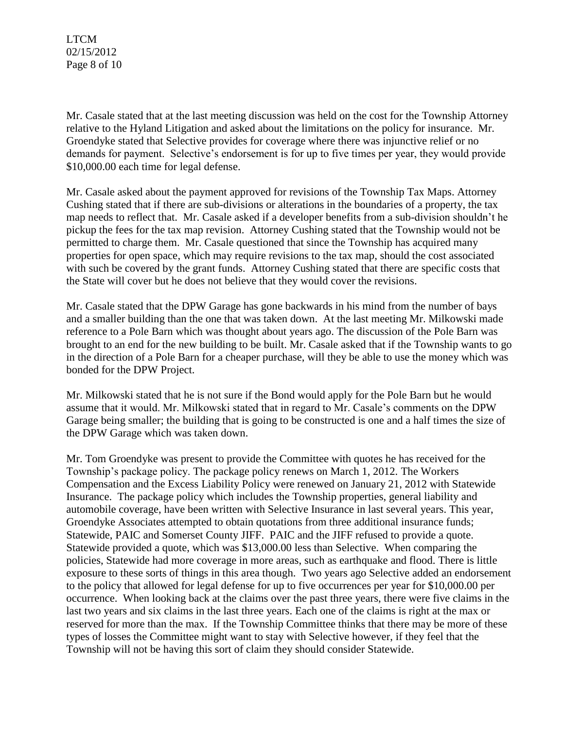Mr. Casale stated that at the last meeting discussion was held on the cost for the Township Attorney relative to the Hyland Litigation and asked about the limitations on the policy for insurance. Mr. Groendyke stated that Selective provides for coverage where there was injunctive relief or no demands for payment. Selective's endorsement is for up to five times per year, they would provide \$10,000.00 each time for legal defense.

Mr. Casale asked about the payment approved for revisions of the Township Tax Maps. Attorney Cushing stated that if there are sub-divisions or alterations in the boundaries of a property, the tax map needs to reflect that. Mr. Casale asked if a developer benefits from a sub-division shouldn't he pickup the fees for the tax map revision. Attorney Cushing stated that the Township would not be permitted to charge them. Mr. Casale questioned that since the Township has acquired many properties for open space, which may require revisions to the tax map, should the cost associated with such be covered by the grant funds. Attorney Cushing stated that there are specific costs that the State will cover but he does not believe that they would cover the revisions.

Mr. Casale stated that the DPW Garage has gone backwards in his mind from the number of bays and a smaller building than the one that was taken down. At the last meeting Mr. Milkowski made reference to a Pole Barn which was thought about years ago. The discussion of the Pole Barn was brought to an end for the new building to be built. Mr. Casale asked that if the Township wants to go in the direction of a Pole Barn for a cheaper purchase, will they be able to use the money which was bonded for the DPW Project.

Mr. Milkowski stated that he is not sure if the Bond would apply for the Pole Barn but he would assume that it would. Mr. Milkowski stated that in regard to Mr. Casale's comments on the DPW Garage being smaller; the building that is going to be constructed is one and a half times the size of the DPW Garage which was taken down.

Mr. Tom Groendyke was present to provide the Committee with quotes he has received for the Township's package policy. The package policy renews on March 1, 2012. The Workers Compensation and the Excess Liability Policy were renewed on January 21, 2012 with Statewide Insurance. The package policy which includes the Township properties, general liability and automobile coverage, have been written with Selective Insurance in last several years. This year, Groendyke Associates attempted to obtain quotations from three additional insurance funds; Statewide, PAIC and Somerset County JIFF. PAIC and the JIFF refused to provide a quote. Statewide provided a quote, which was \$13,000.00 less than Selective. When comparing the policies, Statewide had more coverage in more areas, such as earthquake and flood. There is little exposure to these sorts of things in this area though. Two years ago Selective added an endorsement to the policy that allowed for legal defense for up to five occurrences per year for \$10,000.00 per occurrence. When looking back at the claims over the past three years, there were five claims in the last two years and six claims in the last three years. Each one of the claims is right at the max or reserved for more than the max. If the Township Committee thinks that there may be more of these types of losses the Committee might want to stay with Selective however, if they feel that the Township will not be having this sort of claim they should consider Statewide.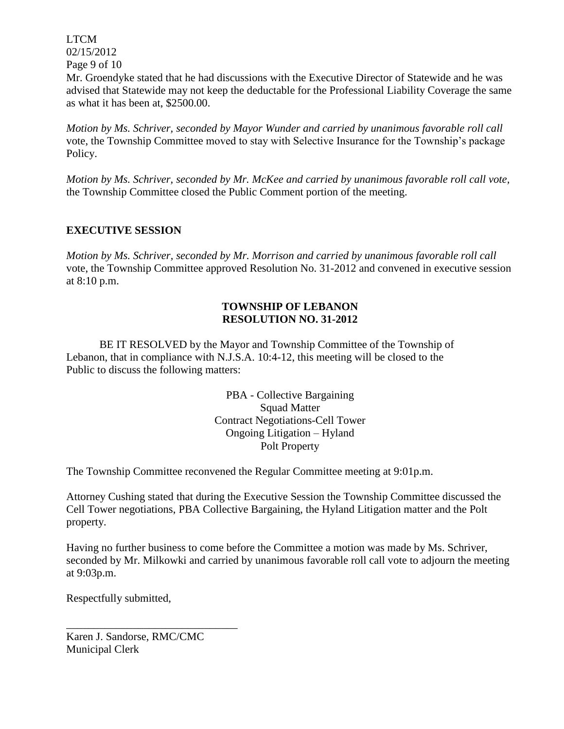LTCM 02/15/2012 Page 9 of 10

Mr. Groendyke stated that he had discussions with the Executive Director of Statewide and he was advised that Statewide may not keep the deductable for the Professional Liability Coverage the same as what it has been at, \$2500.00.

*Motion by Ms. Schriver, seconded by Mayor Wunder and carried by unanimous favorable roll call*  vote, the Township Committee moved to stay with Selective Insurance for the Township's package Policy.

*Motion by Ms. Schriver, seconded by Mr. McKee and carried by unanimous favorable roll call vote,* the Township Committee closed the Public Comment portion of the meeting.

# **EXECUTIVE SESSION**

*Motion by Ms. Schriver, seconded by Mr. Morrison and carried by unanimous favorable roll call*  vote, the Township Committee approved Resolution No. 31-2012 and convened in executive session at 8:10 p.m.

## **TOWNSHIP OF LEBANON RESOLUTION NO. 31-2012**

BE IT RESOLVED by the Mayor and Township Committee of the Township of Lebanon, that in compliance with N.J.S.A. 10:4-12, this meeting will be closed to the Public to discuss the following matters:

> PBA - Collective Bargaining Squad Matter Contract Negotiations-Cell Tower Ongoing Litigation – Hyland Polt Property

The Township Committee reconvened the Regular Committee meeting at 9:01p.m.

Attorney Cushing stated that during the Executive Session the Township Committee discussed the Cell Tower negotiations, PBA Collective Bargaining, the Hyland Litigation matter and the Polt property.

Having no further business to come before the Committee a motion was made by Ms. Schriver, seconded by Mr. Milkowki and carried by unanimous favorable roll call vote to adjourn the meeting at 9:03p.m.

Respectfully submitted,

Karen J. Sandorse, RMC/CMC Municipal Clerk

\_\_\_\_\_\_\_\_\_\_\_\_\_\_\_\_\_\_\_\_\_\_\_\_\_\_\_\_\_\_\_